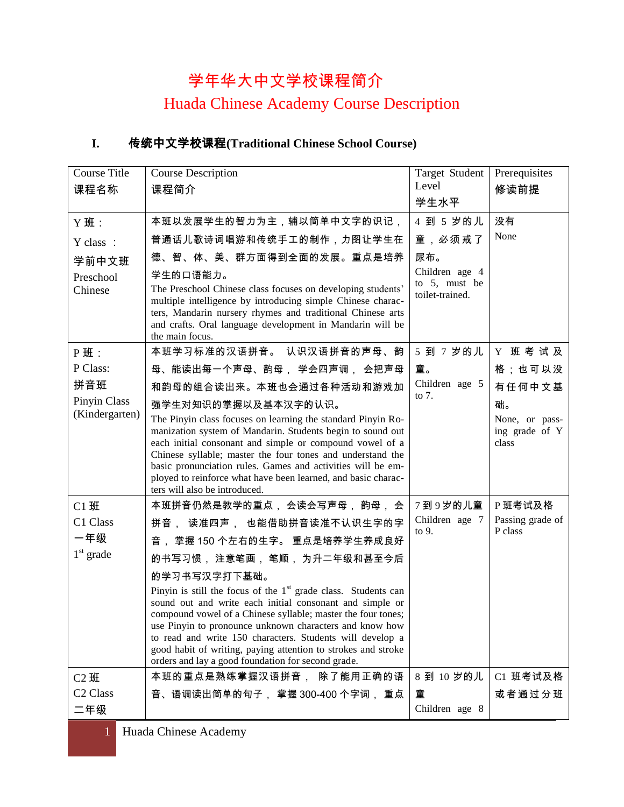# 学年华大中文学校课程简介

## Huada Chinese Academy Course Description

#### **I.** 传统中文学校课程**(Traditional Chinese School Course)**

| <b>Course Title</b>  | <b>Course Description</b>                                                                                                                                                                                                                                                                                                                                                                                                                   | <b>Target Student</b>           | Prerequisites                             |
|----------------------|---------------------------------------------------------------------------------------------------------------------------------------------------------------------------------------------------------------------------------------------------------------------------------------------------------------------------------------------------------------------------------------------------------------------------------------------|---------------------------------|-------------------------------------------|
| 课程名称                 | 课程简介                                                                                                                                                                                                                                                                                                                                                                                                                                        | Level                           | 修读前提                                      |
|                      |                                                                                                                                                                                                                                                                                                                                                                                                                                             | 学生水平                            |                                           |
| $Y$ 班:               | 本班以发展学生的智力为主,辅以简单中文字的识记,                                                                                                                                                                                                                                                                                                                                                                                                                    | 4 到 5 岁的儿                       | 没有                                        |
| Y class:             | 普通话儿歌诗词唱游和传统手工的制作,力图让学生在                                                                                                                                                                                                                                                                                                                                                                                                                    | 童,必须戒了                          | None                                      |
| 学前中文班                | 德、智、体、美、群方面得到全面的发展。重点是培养                                                                                                                                                                                                                                                                                                                                                                                                                    | 尿布。                             |                                           |
| Preschool            | 学生的口语能力。                                                                                                                                                                                                                                                                                                                                                                                                                                    | Children age 4<br>to 5, must be |                                           |
| Chinese              | The Preschool Chinese class focuses on developing students'<br>multiple intelligence by introducing simple Chinese charac-<br>ters, Mandarin nursery rhymes and traditional Chinese arts<br>and crafts. Oral language development in Mandarin will be<br>the main focus.                                                                                                                                                                    | toilet-trained.                 |                                           |
| <b>P班:</b>           | 本班学习标准的汉语拼音。 认识汉语拼音的声母、韵                                                                                                                                                                                                                                                                                                                                                                                                                    | 5 到 7 岁的儿                       | Y 班考试及                                    |
| P Class:             | 母、能读出每一个声母、韵母, 学会四声调, 会把声母                                                                                                                                                                                                                                                                                                                                                                                                                  | 童。                              | 格;也可以没                                    |
| 拼音班                  | 和韵母的组合读出来。本班也会通过各种活动和游戏加                                                                                                                                                                                                                                                                                                                                                                                                                    | Children age 5<br>to 7.         | 有任何中文基                                    |
| Pinyin Class         | 强学生对知识的掌握以及基本汉字的认识。                                                                                                                                                                                                                                                                                                                                                                                                                         |                                 | 础。                                        |
| (Kindergarten)       | The Pinyin class focuses on learning the standard Pinyin Ro-<br>manization system of Mandarin. Students begin to sound out<br>each initial consonant and simple or compound vowel of a<br>Chinese syllable; master the four tones and understand the<br>basic pronunciation rules. Games and activities will be em-<br>ployed to reinforce what have been learned, and basic charac-<br>ters will also be introduced.                       |                                 | None, or pass-<br>ing grade of Y<br>class |
| $C1$ 班               | 本班拼音仍然是教学的重点, 会读会写声母, 韵母, 会                                                                                                                                                                                                                                                                                                                                                                                                                 | 7到9岁的儿童                         | P班考试及格                                    |
| C1 Class             | 拼音, 读准四声, 也能借助拼音读准不认识生字的字                                                                                                                                                                                                                                                                                                                                                                                                                   | Children age 7<br>to 9.         | Passing grade of<br>P class               |
| 一年级                  | 音, 掌握 150 个左右的生字。 重点是培养学生养成良好                                                                                                                                                                                                                                                                                                                                                                                                               |                                 |                                           |
| $1st$ grade          | 的书写习惯, 注意笔画, 笔顺, 为升二年级和甚至今后                                                                                                                                                                                                                                                                                                                                                                                                                 |                                 |                                           |
|                      | 的学习书写汉字打下基础。                                                                                                                                                                                                                                                                                                                                                                                                                                |                                 |                                           |
|                      | Pinyin is still the focus of the $1st$ grade class. Students can<br>sound out and write each initial consonant and simple or<br>compound vowel of a Chinese syllable; master the four tones;<br>use Pinyin to pronounce unknown characters and know how<br>to read and write 150 characters. Students will develop a<br>good habit of writing, paying attention to strokes and stroke<br>orders and lay a good foundation for second grade. |                                 |                                           |
| $C2$ 班               | 本班的重点是熟练掌握汉语拼音, 除了能用正确的语                                                                                                                                                                                                                                                                                                                                                                                                                    | 8 到 10 岁的儿                      | C1 班考试及格                                  |
| C <sub>2</sub> Class | 音、语调读出简单的句子, 掌握 300-400 个字词, 重点                                                                                                                                                                                                                                                                                                                                                                                                             | 童                               | 或者通过分班                                    |
| 二年级                  |                                                                                                                                                                                                                                                                                                                                                                                                                                             | Children age 8                  |                                           |

1 Huada Chinese Academy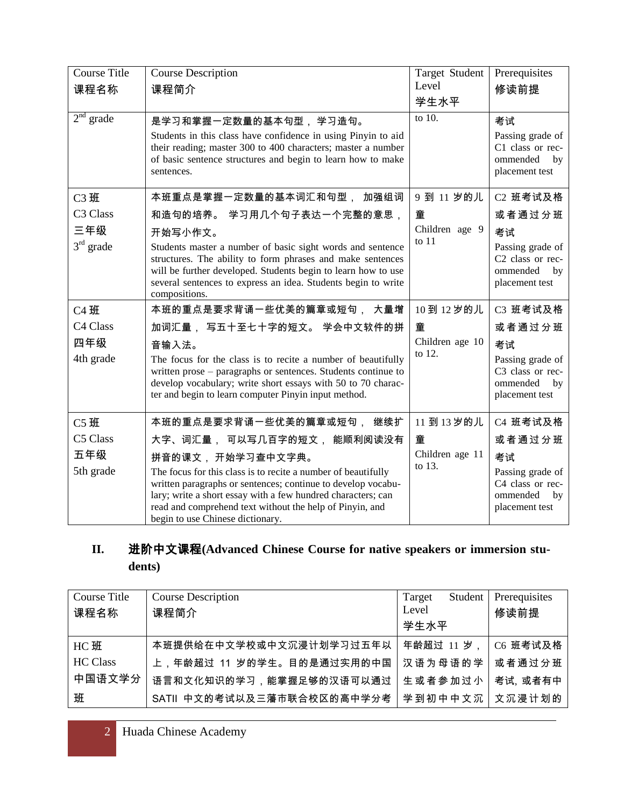| <b>Course Title</b><br>课程名称                        | <b>Course Description</b><br>课程简介                                                                                                                                                                                                                                                                                                                                            | Target Student<br>Level<br>学生水平               | Prerequisites<br>修读前提                                                                                            |
|----------------------------------------------------|------------------------------------------------------------------------------------------------------------------------------------------------------------------------------------------------------------------------------------------------------------------------------------------------------------------------------------------------------------------------------|-----------------------------------------------|------------------------------------------------------------------------------------------------------------------|
| $2nd$ grade                                        | 是学习和掌握一定数量的基本句型, 学习造句。<br>Students in this class have confidence in using Pinyin to aid<br>their reading; master 300 to 400 characters; master a number<br>of basic sentence structures and begin to learn how to make<br>sentences.                                                                                                                                         | to 10.                                        | 考试<br>Passing grade of<br>C1 class or rec-<br>ommended<br>by<br>placement test                                   |
| C3 班<br>C <sub>3</sub> Class<br>三年级<br>$3rd$ grade | 本班重点是掌握一定数量的基本词汇和句型, 加强组词<br>和造句的培养。 学习用几个句子表达一个完整的意思,<br>开始写小作文。<br>Students master a number of basic sight words and sentence<br>structures. The ability to form phrases and make sentences<br>will be further developed. Students begin to learn how to use<br>several sentences to express an idea. Students begin to write<br>compositions.                             | 9 到 11 岁的儿<br>童<br>Children age 9<br>to $11$  | C2 班考试及格<br>或者通过分班<br>考试<br>Passing grade of<br>C <sub>2</sub> class or rec-<br>ommended<br>by<br>placement test |
| C4 班<br>C <sub>4</sub> Class<br>四年级<br>4th grade   | 本班的重点是要求背诵一些优美的篇章或短句, 大量增<br>加词汇量, 写五十至七十字的短文。 学会中文软件的拼<br>音输入法。<br>The focus for the class is to recite a number of beautifully<br>written prose – paragraphs or sentences. Students continue to<br>develop vocabulary; write short essays with 50 to 70 charac-<br>ter and begin to learn computer Pinyin input method.                                                    | 10到12岁的儿<br>童<br>Children age 10<br>to 12.    | C3 班考试及格<br>或者通过分班<br>考试<br>Passing grade of<br>C3 class or rec-<br>ommended<br>by<br>placement test             |
| <b>C5班</b><br>C5 Class<br>五年级<br>5th grade         | 本班的重点是要求背诵一些优美的篇章或短句, 继续扩<br>大字、词汇量, 可以写几百字的短文, 能顺利阅读没有<br>拼音的课文,开始学习查中文字典。<br>The focus for this class is to recite a number of beautifully<br>written paragraphs or sentences; continue to develop vocabu-<br>lary; write a short essay with a few hundred characters; can<br>read and comprehend text without the help of Pinyin, and<br>begin to use Chinese dictionary. | 11 到 13 岁的儿<br>童<br>Children age 11<br>to 13. | C4 班考试及格<br>或者通过分班<br>考试<br>Passing grade of<br>C4 class or rec-<br>ommended<br>by<br>placement test             |

#### **II.** 进阶中文课程**(Advanced Chinese Course for native speakers or immersion students)**

| Course Title    | <b>Course Description</b>  | Student<br>Target | Prerequisites |
|-----------------|----------------------------|-------------------|---------------|
| 课程名称            | 课程简介                       | Level             | 修读前提          |
|                 |                            | 学生水平              |               |
| HC 班            | 本班提供给在中文学校或中文沉浸计划学习过五年以    | 年龄超过 11 岁         | C6 班考试及格      |
| <b>HC Class</b> | 上,年龄超过 11 岁的学生。目的是通过实用的中国  | 汉语为母语的学           | 或者通过分班        |
| 中国语文学分          | 语言和文化知识的学习,能掌握足够的汉语可以通过    | 生或者参加过小           | 考试, 或者有中      |
| 班               | SATII 中文的考试以及三藩市联合校区的高中学分考 | 学到初中中文沉           | 文沉浸计划的        |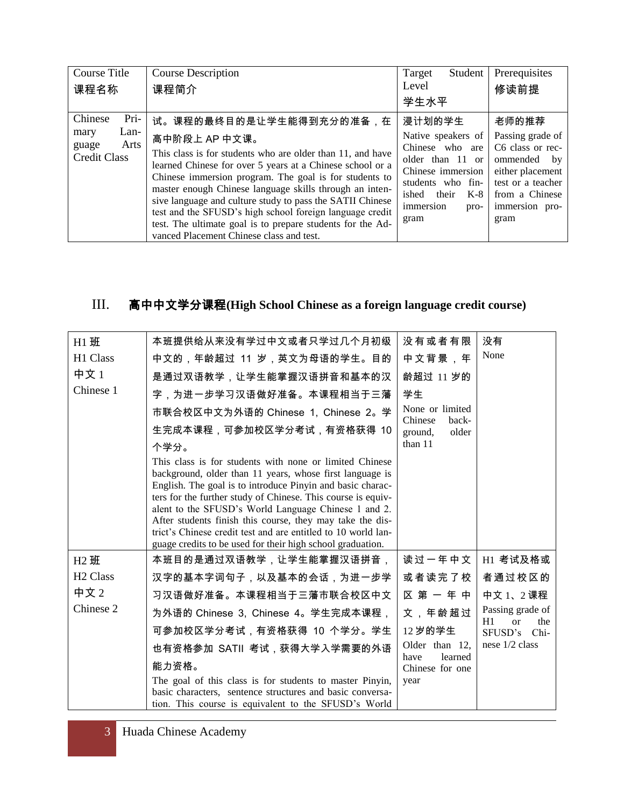| Course Title                                         | <b>Course Description</b>                                                                                                                                                                                                                                                                                                                                                                                                                                                                        | Target<br>Student                                                                                                                                                  | Prerequisites                                                                                                                               |
|------------------------------------------------------|--------------------------------------------------------------------------------------------------------------------------------------------------------------------------------------------------------------------------------------------------------------------------------------------------------------------------------------------------------------------------------------------------------------------------------------------------------------------------------------------------|--------------------------------------------------------------------------------------------------------------------------------------------------------------------|---------------------------------------------------------------------------------------------------------------------------------------------|
| 课程名称                                                 | 课程简介                                                                                                                                                                                                                                                                                                                                                                                                                                                                                             | Level                                                                                                                                                              | 修读前提                                                                                                                                        |
|                                                      |                                                                                                                                                                                                                                                                                                                                                                                                                                                                                                  | 学生水平                                                                                                                                                               |                                                                                                                                             |
| Chinese<br>Pri-                                      | 试。课程的最终目的是让学生能得到充分的准备,在                                                                                                                                                                                                                                                                                                                                                                                                                                                                          | 浸计划的学生                                                                                                                                                             | 老师的推荐                                                                                                                                       |
| Lan-<br>mary<br>Arts<br>guage<br><b>Credit Class</b> | 高中阶段上 AP 中文课。<br>This class is for students who are older than 11, and have<br>learned Chinese for over 5 years at a Chinese school or a<br>Chinese immersion program. The goal is for students to<br>master enough Chinese language skills through an inten-<br>sive language and culture study to pass the SATII Chinese<br>test and the SFUSD's high school foreign language credit<br>test. The ultimate goal is to prepare students for the Ad-<br>vanced Placement Chinese class and test. | Native speakers of<br>Chinese who are<br>older than 11<br>$\alpha$<br>Chinese immersion<br>students who fin-<br>ished<br>their<br>K-8<br>immersion<br>pro-<br>gram | Passing grade of<br>C6 class or rec-<br>ommended<br>by<br>either placement<br>test or a teacher<br>from a Chinese<br>immersion pro-<br>gram |

## III. 高中中文学分课程**(High School Chinese as a foreign language credit course)**

| $H1$ 班               | 本班提供给从来没有学过中文或者只学过几个月初级                                                                                                                                                                                                                                                                                                                                                                                                                                                                               | 没有或者有限                                            | 没有                                    |
|----------------------|-------------------------------------------------------------------------------------------------------------------------------------------------------------------------------------------------------------------------------------------------------------------------------------------------------------------------------------------------------------------------------------------------------------------------------------------------------------------------------------------------------|---------------------------------------------------|---------------------------------------|
| H1 Class             | 中文的,年龄超过 11 岁,英文为母语的学生。目的                                                                                                                                                                                                                                                                                                                                                                                                                                                                             | 中文背景,年                                            | None                                  |
| 中文 1                 | 是通过双语教学,让学生能掌握汉语拼音和基本的汉                                                                                                                                                                                                                                                                                                                                                                                                                                                                               | 龄超过 11 岁的                                         |                                       |
| Chinese 1            | 字,为进一步学习汉语做好准备。本课程相当于三藩                                                                                                                                                                                                                                                                                                                                                                                                                                                                               | 学生                                                |                                       |
|                      | 市联合校区中文为外语的 Chinese 1, Chinese 2。学                                                                                                                                                                                                                                                                                                                                                                                                                                                                    | None or limited                                   |                                       |
|                      | 生完成本课程,可参加校区学分考试,有资格获得 10                                                                                                                                                                                                                                                                                                                                                                                                                                                                             | Chinese<br>back-<br>older<br>ground,<br>than $11$ |                                       |
|                      | 个学分。                                                                                                                                                                                                                                                                                                                                                                                                                                                                                                  |                                                   |                                       |
|                      | This class is for students with none or limited Chinese<br>background, older than 11 years, whose first language is<br>English. The goal is to introduce Pinyin and basic charac-<br>ters for the further study of Chinese. This course is equiv-<br>alent to the SFUSD's World Language Chinese 1 and 2.<br>After students finish this course, they may take the dis-<br>trict's Chinese credit test and are entitled to 10 world lan-<br>guage credits to be used for their high school graduation. |                                                   |                                       |
| H2 班                 | 本班目的是通过双语教学,让学生能掌握汉语拼音,                                                                                                                                                                                                                                                                                                                                                                                                                                                                               | 读过一年中文                                            | H1 考试及格或                              |
| H <sub>2</sub> Class | 汉字的基本字词句子,以及基本的会话,为进一步学                                                                                                                                                                                                                                                                                                                                                                                                                                                                               | 或者读完了校                                            | 者通过校区的                                |
| 中文 2                 | 习汉语做好准备。本课程相当于三藩市联合校区中文                                                                                                                                                                                                                                                                                                                                                                                                                                                                               | 区第一年中                                             | 中文 1、2课程                              |
| Chinese 2            | 为外语的 Chinese 3, Chinese 4。学生完成本课程,                                                                                                                                                                                                                                                                                                                                                                                                                                                                    | 文,年龄超过                                            | Passing grade of                      |
|                      | 可参加校区学分考试,有资格获得 10 个学分。学生                                                                                                                                                                                                                                                                                                                                                                                                                                                                             | 12岁的学生                                            | H1<br>$\alpha$<br>the<br>SFUSD's Chi- |
|                      | 也有资格参加 SATII 考试, 获得大学入学需要的外语                                                                                                                                                                                                                                                                                                                                                                                                                                                                          | Older than 12,                                    | nese $1/2$ class                      |
|                      | 能力资格。                                                                                                                                                                                                                                                                                                                                                                                                                                                                                                 | learned<br>have<br>Chinese for one                |                                       |
|                      | The goal of this class is for students to master Pinyin,                                                                                                                                                                                                                                                                                                                                                                                                                                              | year                                              |                                       |
|                      | basic characters, sentence structures and basic conversa-                                                                                                                                                                                                                                                                                                                                                                                                                                             |                                                   |                                       |
|                      | tion. This course is equivalent to the SFUSD's World                                                                                                                                                                                                                                                                                                                                                                                                                                                  |                                                   |                                       |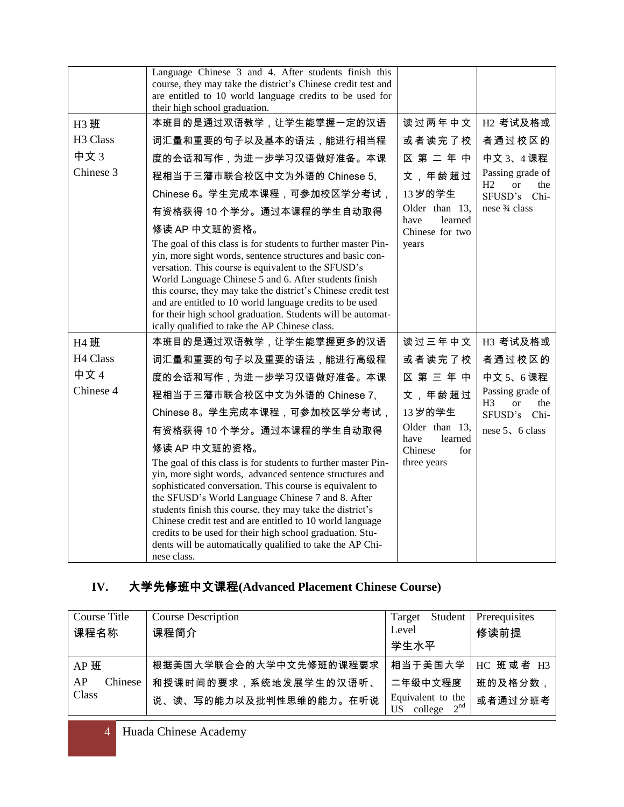|                      | Language Chinese 3 and 4. After students finish this<br>course, they may take the district's Chinese credit test and<br>are entitled to 10 world language credits to be used for<br>their high school graduation. |                                    |                                                        |
|----------------------|-------------------------------------------------------------------------------------------------------------------------------------------------------------------------------------------------------------------|------------------------------------|--------------------------------------------------------|
| H3 班                 | 本班目的是通过双语教学,让学生能掌握一定的汉语                                                                                                                                                                                           | 读过两年中文                             | H2 考试及格或                                               |
| H <sub>3</sub> Class | 词汇量和重要的句子以及基本的语法,能进行相当程                                                                                                                                                                                           | 或者读完了校                             | 者通过校区的                                                 |
| 中文 3                 | 度的会话和写作,为进一步学习汉语做好准备。本课                                                                                                                                                                                           | 区第二年中                              | 中文 3、4课程                                               |
| Chinese 3            | 程相当于三藩市联合校区中文为外语的 Chinese 5,                                                                                                                                                                                      | 文.年龄超过                             | Passing grade of                                       |
|                      | Chinese 6。学生完成本课程,可参加校区学分考试,                                                                                                                                                                                      | 13岁的学生                             | H <sub>2</sub><br><b>or</b><br>the<br>SFUSD's Chi-     |
|                      | 有资格获得 10 个学分。通过本课程的学生自动取得                                                                                                                                                                                         | Older than 13,                     | nese 3/4 class                                         |
|                      | 修读 AP 中文班的资格。                                                                                                                                                                                                     | have<br>learned<br>Chinese for two |                                                        |
|                      | The goal of this class is for students to further master Pin-<br>yin, more sight words, sentence structures and basic con-                                                                                        | years                              |                                                        |
|                      | versation. This course is equivalent to the SFUSD's<br>World Language Chinese 5 and 6. After students finish                                                                                                      |                                    |                                                        |
|                      | this course, they may take the district's Chinese credit test                                                                                                                                                     |                                    |                                                        |
|                      | and are entitled to 10 world language credits to be used<br>for their high school graduation. Students will be automat-                                                                                           |                                    |                                                        |
|                      | ically qualified to take the AP Chinese class.                                                                                                                                                                    |                                    |                                                        |
| H4 班                 | 本班目的是通过双语教学,让学生能掌握更多的汉语                                                                                                                                                                                           | 读过三年中文                             | H3 考试及格或                                               |
| H <sub>4</sub> Class | 词汇量和重要的句子以及重要的语法,能进行高级程                                                                                                                                                                                           | 或者读完了校                             | 者通过校区的                                                 |
| 中文 4                 | 度的会话和写作,为进一步学习汉语做好准备。本课                                                                                                                                                                                           | 区第三年中                              | 中文 5、6课程                                               |
| Chinese 4            | 程相当于三藩市联合校区中文为外语的 Chinese 7,                                                                                                                                                                                      | 文,年龄超过                             | Passing grade of<br>H <sub>3</sub><br><b>or</b><br>the |
|                      | Chinese 8。学生完成本课程,可参加校区学分考试,                                                                                                                                                                                      | 13岁的学生                             | SFUSD's<br>Chi-                                        |
|                      | 有资格获得 10 个学分。通过本课程的学生自动取得                                                                                                                                                                                         | Older than 13,<br>learned<br>have  | nese 5, 6 class                                        |
|                      | 修读 AP 中文班的资格。                                                                                                                                                                                                     | Chinese<br>for                     |                                                        |
|                      | The goal of this class is for students to further master Pin-<br>yin, more sight words, advanced sentence structures and                                                                                          | three years                        |                                                        |
|                      | sophisticated conversation. This course is equivalent to                                                                                                                                                          |                                    |                                                        |
|                      | the SFUSD's World Language Chinese 7 and 8. After                                                                                                                                                                 |                                    |                                                        |
|                      | students finish this course, they may take the district's<br>Chinese credit test and are entitled to 10 world language                                                                                            |                                    |                                                        |
|                      | credits to be used for their high school graduation. Stu-                                                                                                                                                         |                                    |                                                        |
|                      | dents will be automatically qualified to take the AP Chi-<br>nese class.                                                                                                                                          |                                    |                                                        |

## **IV.** 大学先修班中文课程**(Advanced Placement Chinese Course)**

| Course Title  | <b>Course Description</b> | Student<br>Target                                     | Prerequisites |
|---------------|---------------------------|-------------------------------------------------------|---------------|
| 课程名称          | 课程简介                      | Level                                                 | 修读前提          |
|               |                           | 学生水平                                                  |               |
| AP 班          | 根据美国大学联合会的大学中文先修班的课程要求    | 相当于美国大学                                               | HC 班或者 H3     |
| AP<br>Chinese | 和授课时间的要求,系统地发展学生的汉语听、     | 二年级中文程度                                               | 班的及格分数        |
| Class         | 说、读、写的能力以及批判性思维的能力。在听说    | Equivalent to the<br>2 <sup>nd</sup><br>US<br>college | 或者通过分班考       |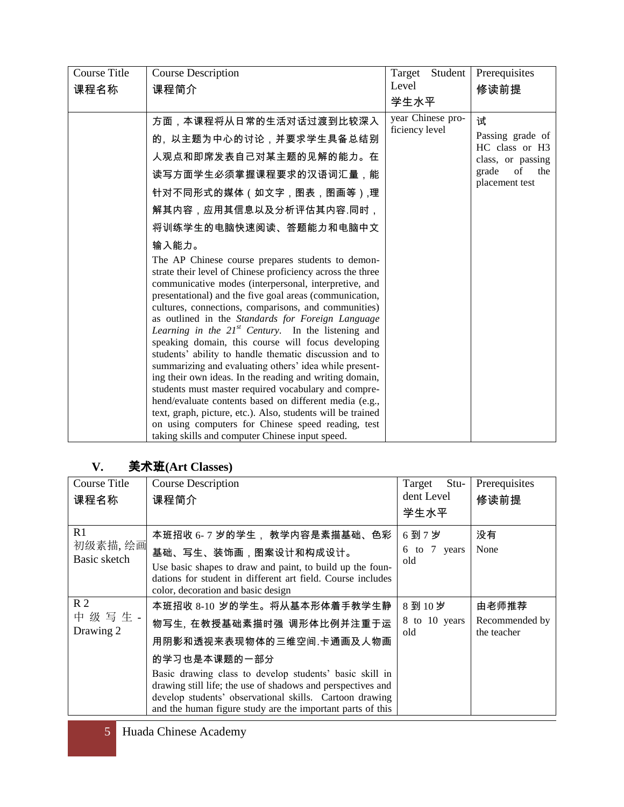| <b>Course Title</b> | <b>Course Description</b>                                                                                                                                                                                                                                                                                                                                                                                                                                                                                                                                                                                                                                                                                                                                                                                                                                                                                                                                                                                                                                                                                                                    | Student<br>Target                   | Prerequisites                                                                                        |
|---------------------|----------------------------------------------------------------------------------------------------------------------------------------------------------------------------------------------------------------------------------------------------------------------------------------------------------------------------------------------------------------------------------------------------------------------------------------------------------------------------------------------------------------------------------------------------------------------------------------------------------------------------------------------------------------------------------------------------------------------------------------------------------------------------------------------------------------------------------------------------------------------------------------------------------------------------------------------------------------------------------------------------------------------------------------------------------------------------------------------------------------------------------------------|-------------------------------------|------------------------------------------------------------------------------------------------------|
| 课程名称                | 课程简介                                                                                                                                                                                                                                                                                                                                                                                                                                                                                                                                                                                                                                                                                                                                                                                                                                                                                                                                                                                                                                                                                                                                         | Level                               | 修读前提                                                                                                 |
|                     |                                                                                                                                                                                                                                                                                                                                                                                                                                                                                                                                                                                                                                                                                                                                                                                                                                                                                                                                                                                                                                                                                                                                              | 学生水平                                |                                                                                                      |
|                     | 方面,本课程将从日常的生活对话过渡到比较深入<br>的, 以主题为中心的讨论,并要求学生具备总结别<br>人观点和即席发表自己对某主题的见解的能力。在<br>读写方面学生必须掌握课程要求的汉语词汇量,能<br>针对不同形式的媒体(如文字,图表,图画等),理<br>解其内容,应用其信息以及分析评估其内容.同时,<br>将训练学生的电脑快速阅读、答题能力和电脑中文<br>输入能力。<br>The AP Chinese course prepares students to demon-<br>strate their level of Chinese proficiency across the three<br>communicative modes (interpersonal, interpretive, and<br>presentational) and the five goal areas (communication,<br>cultures, connections, comparisons, and communities)<br>as outlined in the Standards for Foreign Language<br>Learning in the $21^{st}$ Century. In the listening and<br>speaking domain, this course will focus developing<br>students' ability to handle thematic discussion and to<br>summarizing and evaluating others' idea while present-<br>ing their own ideas. In the reading and writing domain,<br>students must master required vocabulary and compre-<br>hend/evaluate contents based on different media (e.g.,<br>text, graph, picture, etc.). Also, students will be trained<br>on using computers for Chinese speed reading, test<br>taking skills and computer Chinese input speed. | year Chinese pro-<br>ficiency level | 试<br>Passing grade of<br>HC class or H3<br>class, or passing<br>grade<br>of<br>the<br>placement test |

### **V.** 美术班**(Art Classes)**

| Course Title            | <b>Course Description</b>                                                                                              | Stu-<br>Target       | Prerequisites                 |
|-------------------------|------------------------------------------------------------------------------------------------------------------------|----------------------|-------------------------------|
| 课程名称                    | 课程简介                                                                                                                   | dent Level           | 修读前提                          |
|                         |                                                                                                                        | 学生水平                 |                               |
| R1                      | 本班招收 6- 7 岁的学生, 教学内容是素描基础、色彩                                                                                           | 6到7岁                 | 没有                            |
| 初级素描,绘画<br>Basic sketch | 基础、写生、装饰画,图案设计和构成设计。                                                                                                   | 6 to 7 years         | None                          |
|                         | Use basic shapes to draw and paint, to build up the foun-                                                              | old                  |                               |
|                         | dations for student in different art field. Course includes<br>color, decoration and basic design                      |                      |                               |
| R <sub>2</sub>          | 本班招收 8-10 岁的学生。将从基本形体着手教学生静                                                                                            | 8到10岁                | 由老师推荐                         |
| 中级写生 -<br>Drawing 2     | 物写生, 在教授基础素描时强 调形体比例并注重于运                                                                                              | 8 to 10 years<br>old | Recommended by<br>the teacher |
|                         | 用阴影和透视来表现物体的三维空间.卡通画及人物画                                                                                               |                      |                               |
|                         | 的学习也是本课题的一部分                                                                                                           |                      |                               |
|                         | Basic drawing class to develop students' basic skill in                                                                |                      |                               |
|                         | drawing still life; the use of shadows and perspectives and<br>develop students' observational skills. Cartoon drawing |                      |                               |
|                         | and the human figure study are the important parts of this                                                             |                      |                               |